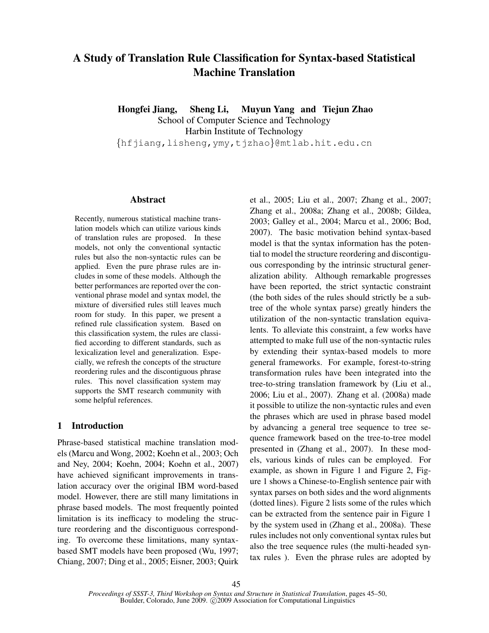# A Study of Translation Rule Classification for Syntax-based Statistical Machine Translation

Hongfei Jiang, Sheng Li, Muyun Yang and Tiejun Zhao School of Computer Science and Technology Harbin Institute of Technology {hfjiang,lisheng,ymy,tjzhao}@mtlab.hit.edu.cn

### Abstract

Recently, numerous statistical machine translation models which can utilize various kinds of translation rules are proposed. In these models, not only the conventional syntactic rules but also the non-syntactic rules can be applied. Even the pure phrase rules are includes in some of these models. Although the better performances are reported over the conventional phrase model and syntax model, the mixture of diversified rules still leaves much room for study. In this paper, we present a refined rule classification system. Based on this classification system, the rules are classified according to different standards, such as lexicalization level and generalization. Especially, we refresh the concepts of the structure reordering rules and the discontiguous phrase rules. This novel classification system may supports the SMT research community with some helpful references.

# 1 Introduction

Phrase-based statistical machine translation models (Marcu and Wong, 2002; Koehn et al., 2003; Och and Ney, 2004; Koehn, 2004; Koehn et al., 2007) have achieved significant improvements in translation accuracy over the original IBM word-based model. However, there are still many limitations in phrase based models. The most frequently pointed limitation is its inefficacy to modeling the structure reordering and the discontiguous corresponding. To overcome these limitations, many syntaxbased SMT models have been proposed (Wu, 1997; Chiang, 2007; Ding et al., 2005; Eisner, 2003; Quirk et al., 2005; Liu et al., 2007; Zhang et al., 2007; Zhang et al., 2008a; Zhang et al., 2008b; Gildea, 2003; Galley et al., 2004; Marcu et al., 2006; Bod, 2007). The basic motivation behind syntax-based model is that the syntax information has the potential to model the structure reordering and discontiguous corresponding by the intrinsic structural generalization ability. Although remarkable progresses have been reported, the strict syntactic constraint (the both sides of the rules should strictly be a subtree of the whole syntax parse) greatly hinders the utilization of the non-syntactic translation equivalents. To alleviate this constraint, a few works have attempted to make full use of the non-syntactic rules by extending their syntax-based models to more general frameworks. For example, forest-to-string transformation rules have been integrated into the tree-to-string translation framework by (Liu et al., 2006; Liu et al., 2007). Zhang et al. (2008a) made it possible to utilize the non-syntactic rules and even the phrases which are used in phrase based model by advancing a general tree sequence to tree sequence framework based on the tree-to-tree model presented in (Zhang et al., 2007). In these models, various kinds of rules can be employed. For example, as shown in Figure 1 and Figure 2, Figure 1 shows a Chinese-to-English sentence pair with syntax parses on both sides and the word alignments (dotted lines). Figure 2 lists some of the rules which can be extracted from the sentence pair in Figure 1 by the system used in (Zhang et al., 2008a). These rules includes not only conventional syntax rules but also the tree sequence rules (the multi-headed syntax rules ). Even the phrase rules are adopted by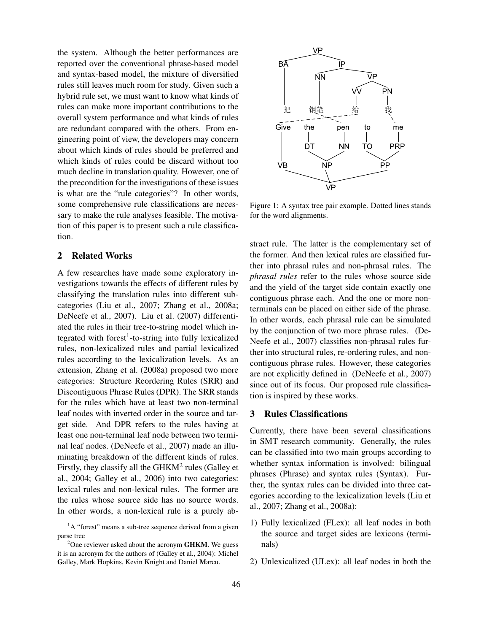the system. Although the better performances are reported over the conventional phrase-based model and syntax-based model, the mixture of diversified rules still leaves much room for study. Given such a hybrid rule set, we must want to know what kinds of rules can make more important contributions to the overall system performance and what kinds of rules are redundant compared with the others. From engineering point of view, the developers may concern about which kinds of rules should be preferred and which kinds of rules could be discard without too much decline in translation quality. However, one of the precondition for the investigations of these issues is what are the "rule categories"? In other words, some comprehensive rule classifications are necessary to make the rule analyses feasible. The motivation of this paper is to present such a rule classification.

# 2 Related Works

A few researches have made some exploratory investigations towards the effects of different rules by classifying the translation rules into different subcategories (Liu et al., 2007; Zhang et al., 2008a; DeNeefe et al., 2007). Liu et al. (2007) differentiated the rules in their tree-to-string model which integrated with forest<sup>1</sup>-to-string into fully lexicalized rules, non-lexicalized rules and partial lexicalized rules according to the lexicalization levels. As an extension, Zhang et al. (2008a) proposed two more categories: Structure Reordering Rules (SRR) and Discontiguous Phrase Rules (DPR). The SRR stands for the rules which have at least two non-terminal leaf nodes with inverted order in the source and target side. And DPR refers to the rules having at least one non-terminal leaf node between two terminal leaf nodes. (DeNeefe et al., 2007) made an illuminating breakdown of the different kinds of rules. Firstly, they classify all the  $GHKM^2$  rules (Galley et al., 2004; Galley et al., 2006) into two categories: lexical rules and non-lexical rules. The former are the rules whose source side has no source words. In other words, a non-lexical rule is a purely ab-The conjunction of this particle in the density of the solution of the solution of the solution of the solution of the solution of the solution of the solution of the solution of the solution of the solution of the soluti



Figure 1: A syntax tree pair example. Dotted lines stands for the word alignments.

stract rule. The latter is the complementary set of the former. And then lexical rules are classified further into phrasal rules and non-phrasal rules. The *phrasal rules* refer to the rules whose source side and the yield of the target side contain exactly one contiguous phrase each. And the one or more nonterminals can be placed on either side of the phrase. In other words, each phrasal rule can be simulated by the conjunction of two more phrase rules. (De-Neefe et al., 2007) classifies non-phrasal rules further into structural rules, re-ordering rules, and noncontiguous phrase rules. However, these categories are not explicitly defined in (DeNeefe et al., 2007) since out of its focus. Our proposed rule classification is inspired by these works.

## 3 Rules Classifications

Currently, there have been several classifications in SMT research community. Generally, the rules can be classified into two main groups according to whether syntax information is involved: bilingual phrases (Phrase) and syntax rules (Syntax). Further, the syntax rules can be divided into three categories according to the lexicalization levels (Liu et al., 2007; Zhang et al., 2008a):

- 1) Fully lexicalized (FLex): all leaf nodes in both the source and target sides are lexicons (terminals)
- 2) Unlexicalized (ULex): all leaf nodes in both the

<sup>&</sup>lt;sup>1</sup>A "forest" means a sub-tree sequence derived from a given parse tree

 $2^2$ One reviewer asked about the acronym **GHKM**. We guess it is an acronym for the authors of (Galley et al., 2004): Michel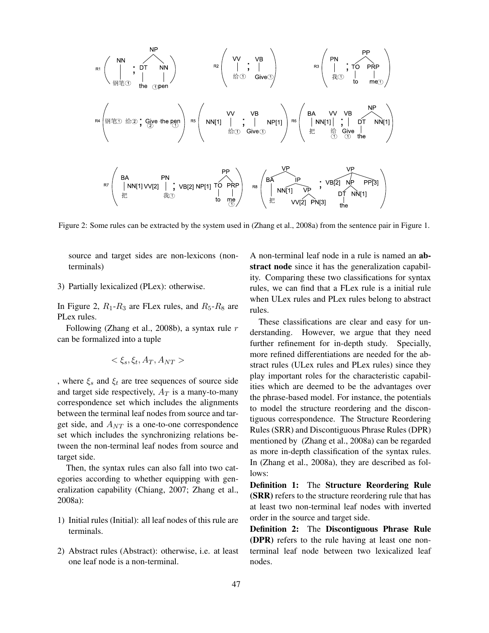| NP          | NP                                                                            |             |                                                                                                                    |             |                                                                                                                                        |             |                                                                                                                                 |             |                                                                                                                                    |                                                                                                          |                                                                                                         |                                                                                                |                                                                                                |        |
|-------------|-------------------------------------------------------------------------------|-------------|--------------------------------------------------------------------------------------------------------------------|-------------|----------------------------------------------------------------------------------------------------------------------------------------|-------------|---------------------------------------------------------------------------------------------------------------------------------|-------------|------------------------------------------------------------------------------------------------------------------------------------|----------------------------------------------------------------------------------------------------------|---------------------------------------------------------------------------------------------------------|------------------------------------------------------------------------------------------------|------------------------------------------------------------------------------------------------|--------|
| \n $R^1$ \n | \n $\begin{pmatrix}\n N & N & N \\ N & N & N \\ N & N & N\n \end{pmatrix}$ \n | \n $R^2$ \n | \n $\begin{pmatrix}\n V & V & N \\ \vdots & \vdots & \vdots & \vdots \\ \frac{M}{2} & 0 & Give\n \end{pmatrix}$ \n | \n $R^3$ \n | \n $\begin{pmatrix}\n PN & \vdots & \vdots & \vdots \\ \frac{M}{2} & 0 & \vdots & \vdots \\ \frac{M}{2} & 0 & Give\n \end{pmatrix}$ \n | \n $R^2$ \n | \n $\begin{pmatrix}\n V & V & \vdots & \vdots & \vdots \\ N & N & \vdots & \vdots \\ \frac{M}{2} & 0 & Give\n \end{pmatrix}$ \n | \n $R^3$ \n | \n $\begin{pmatrix}\n P & \vdots & \vdots & \vdots \\ N & N & \vdots & \vdots \\ \frac{M}{2} & 0 & \frac{N}{2}\n \end{pmatrix}$ \n | \n $\begin{pmatrix}\n NP & \vdots & \vdots & \vdots \\ \frac{M}{2} & 0 & \frac{N}{2}\n \end{pmatrix}$ \n | \n $\begin{pmatrix}\n P & \vdots & \vdots & \vdots \\ \frac{M}{2} & 0 & \frac{N}{2}\n \end{pmatrix}$ \n | \n $\begin{pmatrix}\n P & \vdots & \vdots \\ \frac{M}{2} & 0 & \frac{N}{2}\n \end{pmatrix}$ \n | \n $\begin{pmatrix}\n P & \vdots & \vdots \\ \frac{M}{2} & 0 & \frac{N}{2}\n \end{pmatrix}$ \n | \n $\$ |

Figure 2: Some rules can be extracted by the system used in (Zhang et al., 2008a) from the sentence pair in Figure 1.

source and target sides are non-lexicons (nonterminals)

3) Partially lexicalized (PLex): otherwise.

In Figure 2,  $R_1$ - $R_3$  are FLex rules, and  $R_5$ - $R_8$  are PLex rules.

Following (Zhang et al., 2008b), a syntax rule  $r$ can be formalized into a tuple

$$
<\xi_s,\xi_t,A_T,A_{NT}>
$$

, where  $\xi_s$  and  $\xi_t$  are tree sequences of source side and target side respectively,  $A_T$  is a many-to-many correspondence set which includes the alignments between the terminal leaf nodes from source and target side, and  $A_{NT}$  is a one-to-one correspondence set which includes the synchronizing relations between the non-terminal leaf nodes from source and target side.

Then, the syntax rules can also fall into two categories according to whether equipping with generalization capability (Chiang, 2007; Zhang et al., 2008a):

- 1) Initial rules (Initial): all leaf nodes of this rule are terminals.
- 2) Abstract rules (Abstract): otherwise, i.e. at least one leaf node is a non-terminal.

A non-terminal leaf node in a rule is named an abstract node since it has the generalization capability. Comparing these two classifications for syntax rules, we can find that a FLex rule is a initial rule when ULex rules and PLex rules belong to abstract rules.

These classifications are clear and easy for understanding. However, we argue that they need further refinement for in-depth study. Specially, more refined differentiations are needed for the abstract rules (ULex rules and PLex rules) since they play important roles for the characteristic capabilities which are deemed to be the advantages over the phrase-based model. For instance, the potentials to model the structure reordering and the discontiguous correspondence. The Structure Reordering Rules (SRR) and Discontiguous Phrase Rules (DPR) mentioned by (Zhang et al., 2008a) can be regarded as more in-depth classification of the syntax rules. In (Zhang et al., 2008a), they are described as follows:

Definition 1: The Structure Reordering Rule (SRR) refers to the structure reordering rule that has at least two non-terminal leaf nodes with inverted order in the source and target side.

Definition 2: The Discontiguous Phrase Rule (DPR) refers to the rule having at least one nonterminal leaf node between two lexicalized leaf nodes.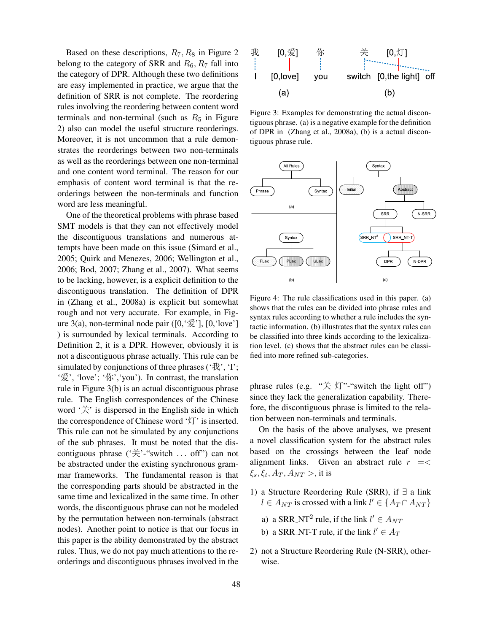Based on these descriptions,  $R_7, R_8$  in Figure 2 belong to the category of SRR and  $R_6, R_7$  fall into the category of DPR. Although these two definitions are easy implemented in practice, we argue that the definition of SRR is not complete. The reordering rules involving the reordering between content word terminals and non-terminal (such as  $R_5$  in Figure 2) also can model the useful structure reorderings. Moreover, it is not uncommon that a rule demonstrates the reorderings between two non-terminals as well as the reorderings between one non-terminal and one content word terminal. The reason for our emphasis of content word terminal is that the reorderings between the non-terminals and function word are less meaningful.

One of the theoretical problems with phrase based SMT models is that they can not effectively model the discontiguous translations and numerous attempts have been made on this issue (Simard et al., 2005; Quirk and Menezes, 2006; Wellington et al., 2006; Bod, 2007; Zhang et al., 2007). What seems to be lacking, however, is a explicit definition to the discontiguous translation. The definition of DPR in (Zhang et al., 2008a) is explicit but somewhat rough and not very accurate. For example, in Figure 3(a), non-terminal node pair  $([0, \frac{\sqrt{2}}{2}], [0, \text{'love'}]$ ) is surrounded by lexical terminals. According to Definition 2, it is a DPR. However, obviously it is not a discontiguous phrase actually. This rule can be simulated by conjunctions of three phrases ( $\forall$ \;  $\forall$ ); '爱', 'love'; '你','you'). In contrast, the translation rule in Figure 3(b) is an actual discontiguous phrase rule. The English correspondences of the Chinese word '关' is dispersed in the English side in which the correspondence of Chinese word '灯' is inserted. This rule can not be simulated by any conjunctions of the sub phrases. It must be noted that the discontiguous phrase  $(\dot{\mathcal{F}}')$ -"switch ... off" can not be abstracted under the existing synchronous grammar frameworks. The fundamental reason is that the corresponding parts should be abstracted in the same time and lexicalized in the same time. In other words, the discontiguous phrase can not be modeled by the permutation between non-terminals (abstract nodes). Another point to notice is that our focus in this paper is the ability demonstrated by the abstract rules. Thus, we do not pay much attentions to the reorderings and discontiguous phrases involved in the



Figure 3: Examples for demonstrating the actual discontiguous phrase. (a) is a negative example for the definition of DPR in (Zhang et al., 2008a), (b) is a actual discontiguous phrase rule.



Figure 4: The rule classifications used in this paper. (a) shows that the rules can be divided into phrase rules and syntax rules according to whether a rule includes the syntactic information. (b) illustrates that the syntax rules can be classified into three kinds according to the lexicalization level. (c) shows that the abstract rules can be classified into more refined sub-categories.

phrase rules (e.g. "关灯"-"switch the light off") since they lack the generalization capability. Therefore, the discontiguous phrase is limited to the relation between non-terminals and terminals.

On the basis of the above analyses, we present a novel classification system for the abstract rules based on the crossings between the leaf node alignment links. Given an abstract rule  $r = \lt$  $\xi_s, \xi_t, A_T, A_{NT} >$ , it is

- 1) a Structure Reordering Rule (SRR), if ∃ a link  $l \in A_{NT}$  is crossed with a link  $l' \in \{A_T \cap A_{NT}\}\$ 
	- a) a SRR\_NT<sup>2</sup> rule, if the link  $l' \in A_{NT}$
	- b) a SRR\_NT-T rule, if the link  $l' \in A_T$
- 2) not a Structure Reordering Rule (N-SRR), otherwise.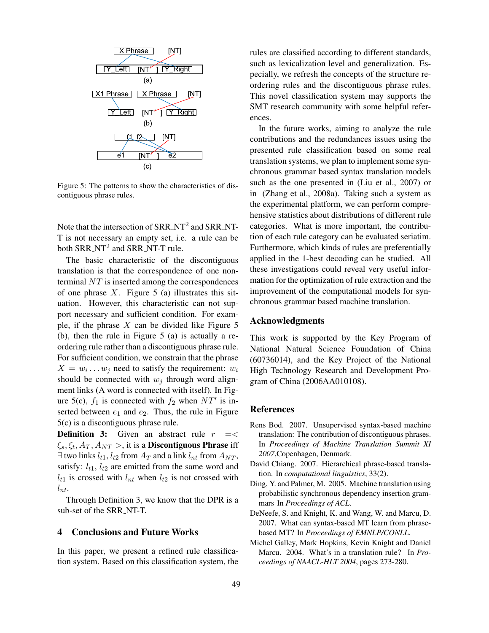

Figure 5: The patterns to show the characteristics of discontiguous phrase rules.

Note that the intersection of  $SRR_NT^2$  and  $SRR_NT$ -T is not necessary an empty set, i.e. a rule can be both  $SRR_NT^2$  and  $SRR_NT$ -T rule.

The basic characteristic of the discontiguous translation is that the correspondence of one nonterminal NT is inserted among the correspondences of one phrase  $X$ . Figure 5 (a) illustrates this situation. However, this characteristic can not support necessary and sufficient condition. For example, if the phrase  $X$  can be divided like Figure 5 (b), then the rule in Figure 5 (a) is actually a reordering rule rather than a discontiguous phrase rule. For sufficient condition, we constrain that the phrase  $X = w_i \dots w_j$  need to satisfy the requirement:  $w_i$ should be connected with  $w_j$  through word alignment links (A word is connected with itself). In Figure 5(c),  $f_1$  is connected with  $f_2$  when  $NT'$  is inserted between  $e_1$  and  $e_2$ . Thus, the rule in Figure 5(c) is a discontiguous phrase rule.

**Definition 3:** Given an abstract rule  $r = \lt$  $\xi_s, \xi_t, A_T, A_{NT} >$ , it is a **Discontiguous Phrase** iff  $\exists$  two links  $l_{t1}$ ,  $l_{t2}$  from  $A_T$  and a link  $l_{nt}$  from  $A_{NT}$ , satisfy:  $l_{t1}$ ,  $l_{t2}$  are emitted from the same word and  $l_{t1}$  is crossed with  $l_{nt}$  when  $l_{t2}$  is not crossed with  $l_{nt}$ .

Through Definition 3, we know that the DPR is a sub-set of the SRR\_NT-T.

## 4 Conclusions and Future Works

In this paper, we present a refined rule classification system. Based on this classification system, the rules are classified according to different standards, such as lexicalization level and generalization. Especially, we refresh the concepts of the structure reordering rules and the discontiguous phrase rules. This novel classification system may supports the SMT research community with some helpful references.

In the future works, aiming to analyze the rule contributions and the redundances issues using the presented rule classification based on some real translation systems, we plan to implement some synchronous grammar based syntax translation models such as the one presented in (Liu et al., 2007) or in (Zhang et al., 2008a). Taking such a system as the experimental platform, we can perform comprehensive statistics about distributions of different rule categories. What is more important, the contribution of each rule category can be evaluated seriatim. Furthermore, which kinds of rules are preferentially applied in the 1-best decoding can be studied. All these investigations could reveal very useful information for the optimization of rule extraction and the improvement of the computational models for synchronous grammar based machine translation.

## Acknowledgments

This work is supported by the Key Program of National Natural Science Foundation of China (60736014), and the Key Project of the National High Technology Research and Development Program of China (2006AA010108).

### References

- Rens Bod. 2007. Unsupervised syntax-based machine translation: The contribution of discontiguous phrases. In *Proceedings of Machine Translation Summit XI 2007*,Copenhagen, Denmark.
- David Chiang. 2007. Hierarchical phrase-based translation. In *computational linguistics*, 33(2).
- Ding, Y. and Palmer, M. 2005. Machine translation using probabilistic synchronous dependency insertion grammars In *Proceedings of ACL*.
- DeNeefe, S. and Knight, K. and Wang, W. and Marcu, D. 2007. What can syntax-based MT learn from phrasebased MT? In *Proceedings of EMNLP/CONLL*.
- Michel Galley, Mark Hopkins, Kevin Knight and Daniel Marcu. 2004. What's in a translation rule? In *Proceedings of NAACL-HLT 2004*, pages 273-280.